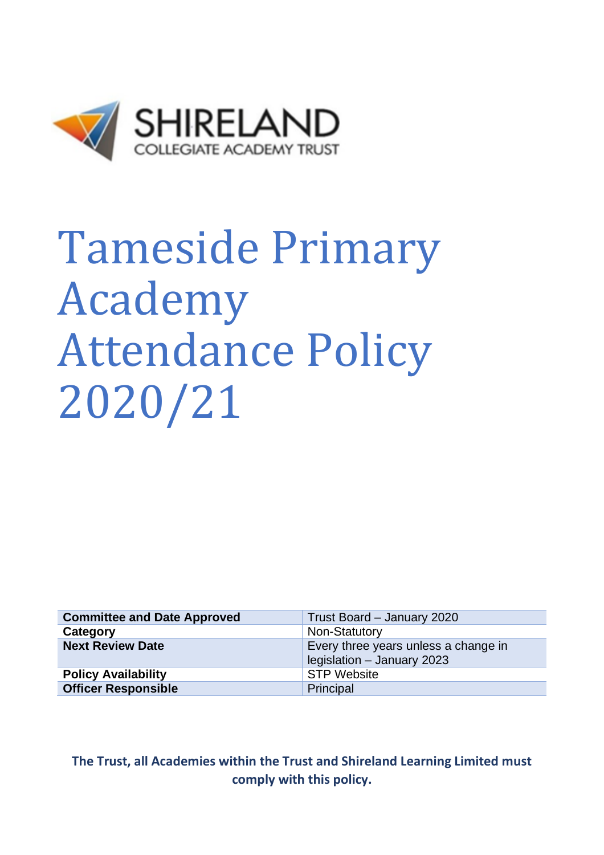

# Tameside Primary Academy Attendance Policy 2020/21

| <b>Committee and Date Approved</b> | Trust Board - January 2020                                         |
|------------------------------------|--------------------------------------------------------------------|
| Category                           | Non-Statutory                                                      |
| <b>Next Review Date</b>            | Every three years unless a change in<br>legislation - January 2023 |
| <b>Policy Availability</b>         | <b>STP Website</b>                                                 |
| <b>Officer Responsible</b>         | Principal                                                          |

**The Trust, all Academies within the Trust and Shireland Learning Limited must comply with this policy.**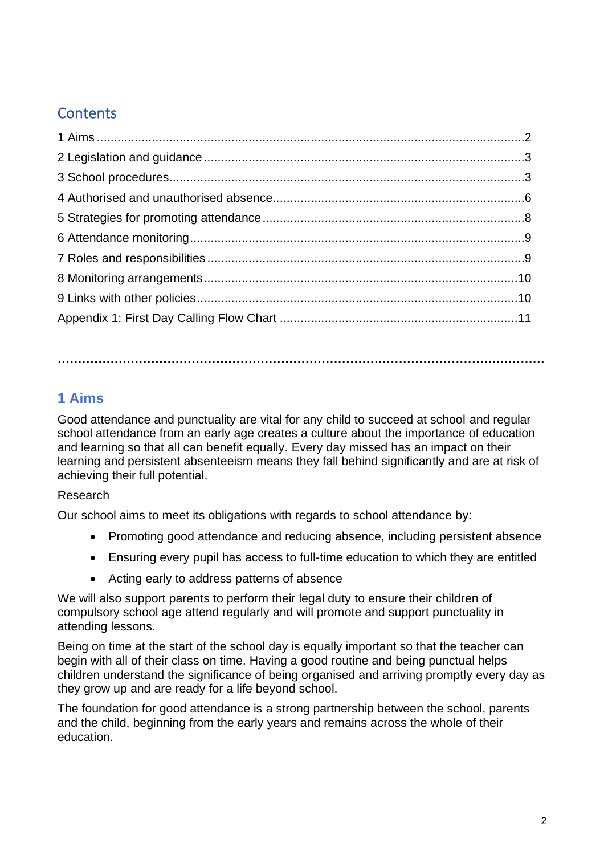# **Contents**

**…………………………………………………………………………………………………………**

# **1 Aims**

Good attendance and punctuality are vital for any child to succeed at school and regular school attendance from an early age creates a culture about the importance of education and learning so that all can benefit equally. Every day missed has an impact on their learning and persistent absenteeism means they fall behind significantly and are at risk of achieving their full potential.

# Research

Our school aims to meet its obligations with regards to school attendance by:

- Promoting good attendance and reducing absence, including persistent absence
- Ensuring every pupil has access to full-time education to which they are entitled
- Acting early to address patterns of absence

We will also support parents to perform their legal duty to ensure their children of compulsory school age attend regularly and will promote and support punctuality in attending lessons.

Being on time at the start of the school day is equally important so that the teacher can begin with all of their class on time. Having a good routine and being punctual helps children understand the significance of being organised and arriving promptly every day as they grow up and are ready for a life beyond school.

The foundation for good attendance is a strong partnership between the school, parents and the child, beginning from the early years and remains across the whole of their education.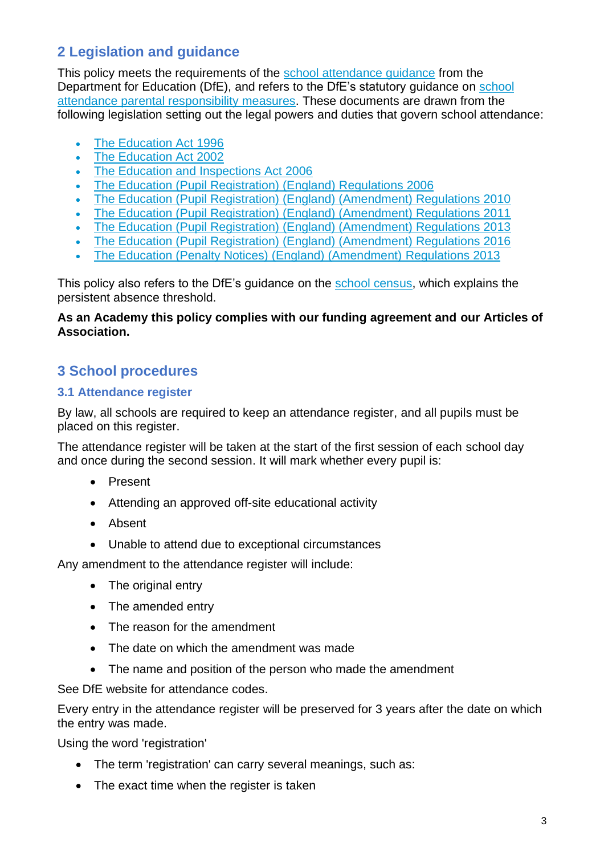# **2 Legislation and guidance**

This policy meets the requirements of the school attendance quidance from the Department for Education (DfE), and refers to the DfE's statutory guidance on [school](https://www.gov.uk/government/publications/parental-responsibility-measures-for-behaviour-and-attendance)  [attendance parental responsibility measures.](https://www.gov.uk/government/publications/parental-responsibility-measures-for-behaviour-and-attendance) These documents are drawn from the following legislation setting out the legal powers and duties that govern school attendance:

- [The Education Act 1996](https://www.legislation.gov.uk/ukpga/1996/56/part/VI/chapter/II)
- [The Education Act 2002](http://www.legislation.gov.uk/ukpga/2002/32/part/3/chapter/3)
- [The Education and Inspections Act 2006](http://www.legislation.gov.uk/ukpga/2006/40/part/7/chapter/2/crossheading/school-attendance)
- [The Education \(Pupil Registration\) \(England\) Regulations 2006](http://www.legislation.gov.uk/uksi/2006/1751/contents/made)
- [The Education \(Pupil Registration\) \(England\) \(Amendment\) Regulations 2010](http://www.centralbedfordshire.gov.uk/Images/amendment-regulation-2010_tcm3-8642.pdf)
- [The Education \(Pupil Registration\) \(England\) \(Amendment\) Regulations 2011](http://www.legislation.gov.uk/uksi/2011/1625/made)
- [The Education \(Pupil Registration\) \(England\) \(Amendment\) Regulations 2013](http://www.legislation.gov.uk/uksi/2013/756/made)
- [The Education \(Pupil Registration\) \(England\) \(Amendment\) Regulations 2016](http://legislation.data.gov.uk/uksi/2016/792/made/data.html)
- [The Education \(Penalty Notices\) \(England\) \(Amendment\) Regulations 2013](http://www.legislation.gov.uk/uksi/2013/756/pdfs/uksiem_20130756_en.pdf)

This policy also refers to the DfE's guidance on the [school census,](https://www.gov.uk/government/publications/school-census-2017-to-2018-guide-for-schools-and-las) which explains the persistent absence threshold.

#### **As an Academy this policy complies with our funding agreement and our Articles of Association.**

# **3 School procedures**

## **3.1 Attendance register**

By law, all schools are required to keep an attendance register, and all pupils must be placed on this register.

The attendance register will be taken at the start of the first session of each school day and once during the second session. It will mark whether every pupil is:

- Present
- Attending an approved off-site educational activity
- Absent
- Unable to attend due to exceptional circumstances

Any amendment to the attendance register will include:

- The original entry
- The amended entry
- The reason for the amendment
- The date on which the amendment was made
- The name and position of the person who made the amendment

See DfE website for attendance codes.

Every entry in the attendance register will be preserved for 3 years after the date on which the entry was made.

Using the word 'registration'

- The term 'registration' can carry several meanings, such as:
- The exact time when the register is taken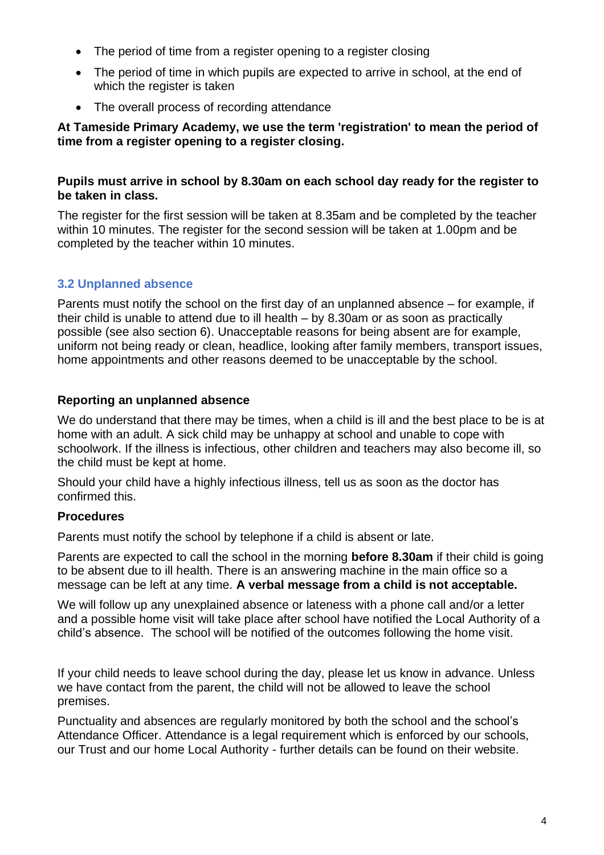- The period of time from a register opening to a register closing
- The period of time in which pupils are expected to arrive in school, at the end of which the register is taken
- The overall process of recording attendance

#### **At Tameside Primary Academy, we use the term 'registration' to mean the period of time from a register opening to a register closing.**

#### **Pupils must arrive in school by 8.30am on each school day ready for the register to be taken in class.**

The register for the first session will be taken at 8.35am and be completed by the teacher within 10 minutes. The register for the second session will be taken at 1.00pm and be completed by the teacher within 10 minutes.

## **3.2 Unplanned absence**

Parents must notify the school on the first day of an unplanned absence – for example, if their child is unable to attend due to ill health – by 8.30am or as soon as practically possible (see also section 6). Unacceptable reasons for being absent are for example, uniform not being ready or clean, headlice, looking after family members, transport issues, home appointments and other reasons deemed to be unacceptable by the school.

#### **Reporting an unplanned absence**

We do understand that there may be times, when a child is ill and the best place to be is at home with an adult. A sick child may be unhappy at school and unable to cope with schoolwork. If the illness is infectious, other children and teachers may also become ill, so the child must be kept at home.

Should your child have a highly infectious illness, tell us as soon as the doctor has confirmed this.

#### **Procedures**

Parents must notify the school by telephone if a child is absent or late.

Parents are expected to call the school in the morning **before 8.30am** if their child is going to be absent due to ill health. There is an answering machine in the main office so a message can be left at any time. **A verbal message from a child is not acceptable.**

We will follow up any unexplained absence or lateness with a phone call and/or a letter and a possible home visit will take place after school have notified the Local Authority of a child's absence. The school will be notified of the outcomes following the home visit.

If your child needs to leave school during the day, please let us know in advance. Unless we have contact from the parent, the child will not be allowed to leave the school premises.

Punctuality and absences are regularly monitored by both the school and the school's Attendance Officer. Attendance is a legal requirement which is enforced by our schools, our Trust and our home Local Authority - further details can be found on their website.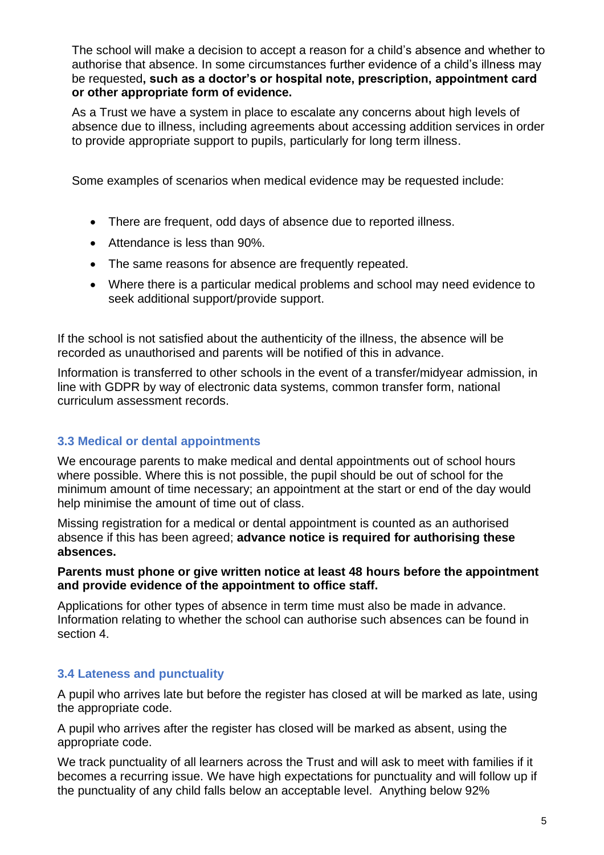The school will make a decision to accept a reason for a child's absence and whether to authorise that absence. In some circumstances further evidence of a child's illness may be requested**, such as a doctor's or hospital note, prescription, appointment card or other appropriate form of evidence.**

As a Trust we have a system in place to escalate any concerns about high levels of absence due to illness, including agreements about accessing addition services in order to provide appropriate support to pupils, particularly for long term illness.

Some examples of scenarios when medical evidence may be requested include:

- There are frequent, odd days of absence due to reported illness.
- Attendance is less than 90%.
- The same reasons for absence are frequently repeated.
- Where there is a particular medical problems and school may need evidence to seek additional support/provide support.

If the school is not satisfied about the authenticity of the illness, the absence will be recorded as unauthorised and parents will be notified of this in advance.

Information is transferred to other schools in the event of a transfer/midyear admission, in line with GDPR by way of electronic data systems, common transfer form, national curriculum assessment records.

# **3.3 Medical or dental appointments**

We encourage parents to make medical and dental appointments out of school hours where possible. Where this is not possible, the pupil should be out of school for the minimum amount of time necessary; an appointment at the start or end of the day would help minimise the amount of time out of class.

Missing registration for a medical or dental appointment is counted as an authorised absence if this has been agreed; **advance notice is required for authorising these absences.**

#### **Parents must phone or give written notice at least 48 hours before the appointment and provide evidence of the appointment to office staff.**

Applications for other types of absence in term time must also be made in advance. Information relating to whether the school can authorise such absences can be found in section 4.

# **3.4 Lateness and punctuality**

A pupil who arrives late but before the register has closed at will be marked as late, using the appropriate code.

A pupil who arrives after the register has closed will be marked as absent, using the appropriate code.

We track punctuality of all learners across the Trust and will ask to meet with families if it becomes a recurring issue. We have high expectations for punctuality and will follow up if the punctuality of any child falls below an acceptable level. Anything below 92%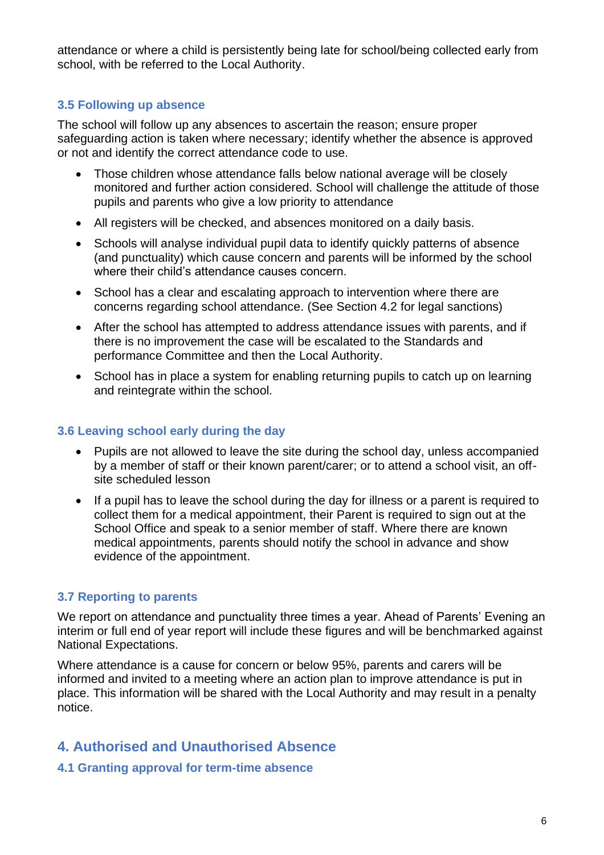attendance or where a child is persistently being late for school/being collected early from school, with be referred to the Local Authority.

#### **3.5 Following up absence**

The school will follow up any absences to ascertain the reason; ensure proper safeguarding action is taken where necessary; identify whether the absence is approved or not and identify the correct attendance code to use.

- Those children whose attendance falls below national average will be closely monitored and further action considered. School will challenge the attitude of those pupils and parents who give a low priority to attendance
- All registers will be checked, and absences monitored on a daily basis.
- Schools will analyse individual pupil data to identify quickly patterns of absence (and punctuality) which cause concern and parents will be informed by the school where their child's attendance causes concern
- School has a clear and escalating approach to intervention where there are concerns regarding school attendance. (See Section 4.2 for legal sanctions)
- After the school has attempted to address attendance issues with parents, and if there is no improvement the case will be escalated to the Standards and performance Committee and then the Local Authority.
- School has in place a system for enabling returning pupils to catch up on learning and reintegrate within the school.

#### **3.6 Leaving school early during the day**

- Pupils are not allowed to leave the site during the school day, unless accompanied by a member of staff or their known parent/carer; or to attend a school visit, an offsite scheduled lesson
- If a pupil has to leave the school during the day for illness or a parent is required to collect them for a medical appointment, their Parent is required to sign out at the School Office and speak to a senior member of staff. Where there are known medical appointments, parents should notify the school in advance and show evidence of the appointment.

#### **3.7 Reporting to parents**

We report on attendance and punctuality three times a year. Ahead of Parents' Evening an interim or full end of year report will include these figures and will be benchmarked against National Expectations.

Where attendance is a cause for concern or below 95%, parents and carers will be informed and invited to a meeting where an action plan to improve attendance is put in place. This information will be shared with the Local Authority and may result in a penalty notice.

# **4. Authorised and Unauthorised Absence**

**4.1 Granting approval for term-time absence**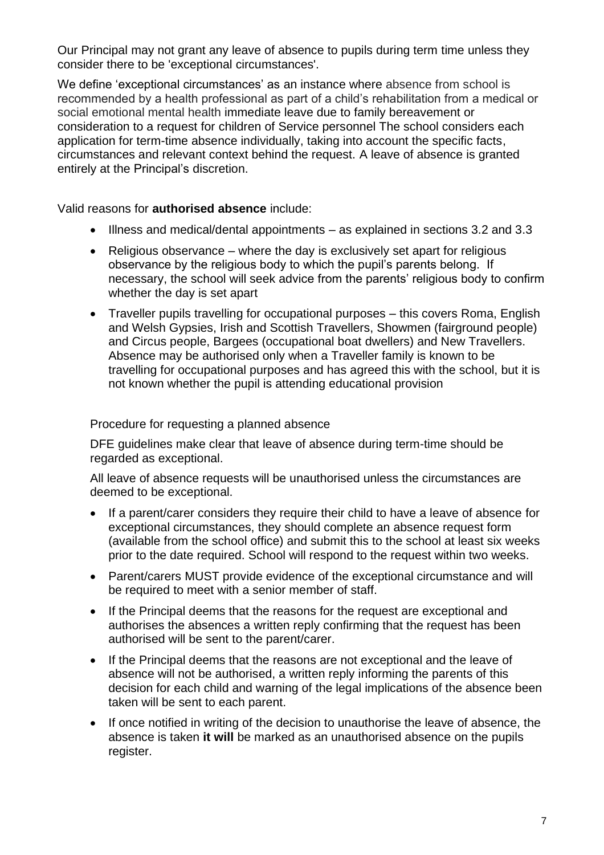Our Principal may not grant any leave of absence to pupils during term time unless they consider there to be 'exceptional circumstances'.

We define 'exceptional circumstances' as an instance where absence from school is recommended by a health professional as part of a child's rehabilitation from a medical or social emotional mental health immediate leave due to family bereavement or consideration to a request for children of Service personnel The school considers each application for term-time absence individually, taking into account the specific facts, circumstances and relevant context behind the request. A leave of absence is granted entirely at the Principal's discretion.

Valid reasons for **authorised absence** include:

- Illness and medical/dental appointments as explained in sections 3.2 and 3.3
- Religious observance where the day is exclusively set apart for religious observance by the religious body to which the pupil's parents belong. If necessary, the school will seek advice from the parents' religious body to confirm whether the day is set apart
- Traveller pupils travelling for occupational purposes this covers Roma, English and Welsh Gypsies, Irish and Scottish Travellers, Showmen (fairground people) and Circus people, Bargees (occupational boat dwellers) and New Travellers. Absence may be authorised only when a Traveller family is known to be travelling for occupational purposes and has agreed this with the school, but it is not known whether the pupil is attending educational provision

Procedure for requesting a planned absence

DFE guidelines make clear that leave of absence during term-time should be regarded as exceptional.

All leave of absence requests will be unauthorised unless the circumstances are deemed to be exceptional.

- If a parent/carer considers they require their child to have a leave of absence for exceptional circumstances, they should complete an absence request form (available from the school office) and submit this to the school at least six weeks prior to the date required. School will respond to the request within two weeks.
- Parent/carers MUST provide evidence of the exceptional circumstance and will be required to meet with a senior member of staff.
- If the Principal deems that the reasons for the request are exceptional and authorises the absences a written reply confirming that the request has been authorised will be sent to the parent/carer.
- If the Principal deems that the reasons are not exceptional and the leave of absence will not be authorised, a written reply informing the parents of this decision for each child and warning of the legal implications of the absence been taken will be sent to each parent.
- If once notified in writing of the decision to unauthorise the leave of absence, the absence is taken **it will** be marked as an unauthorised absence on the pupils register.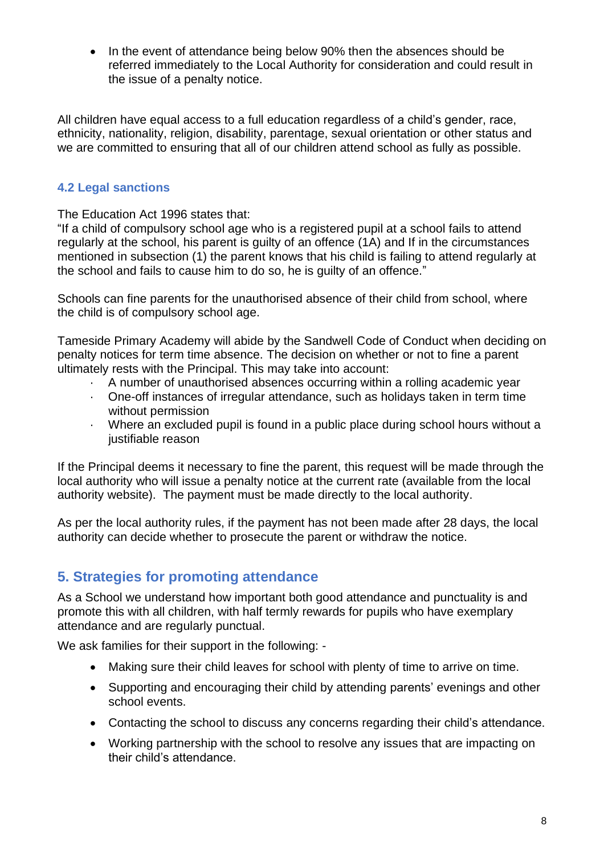• In the event of attendance being below 90% then the absences should be referred immediately to the Local Authority for consideration and could result in the issue of a penalty notice.

All children have equal access to a full education regardless of a child's gender, race, ethnicity, nationality, religion, disability, parentage, sexual orientation or other status and we are committed to ensuring that all of our children attend school as fully as possible.

#### **4.2 Legal sanctions**

The Education Act 1996 states that:

"If a child of compulsory school age who is a registered pupil at a school fails to attend regularly at the school, his parent is guilty of an offence (1A) and If in the circumstances mentioned in subsection (1) the parent knows that his child is failing to attend regularly at the school and fails to cause him to do so, he is guilty of an offence."

Schools can fine parents for the unauthorised absence of their child from school, where the child is of compulsory school age.

Tameside Primary Academy will abide by the Sandwell Code of Conduct when deciding on penalty notices for term time absence. The decision on whether or not to fine a parent ultimately rests with the Principal. This may take into account:

- · A number of unauthorised absences occurring within a rolling academic year
- · One-off instances of irregular attendance, such as holidays taken in term time without permission
- · Where an excluded pupil is found in a public place during school hours without a justifiable reason

If the Principal deems it necessary to fine the parent, this request will be made through the local authority who will issue a penalty notice at the current rate (available from the local authority website). The payment must be made directly to the local authority.

As per the local authority rules, if the payment has not been made after 28 days, the local authority can decide whether to prosecute the parent or withdraw the notice.

# **5. Strategies for promoting attendance**

As a School we understand how important both good attendance and punctuality is and promote this with all children, with half termly rewards for pupils who have exemplary attendance and are regularly punctual.

We ask families for their support in the following: -

- Making sure their child leaves for school with plenty of time to arrive on time.
- Supporting and encouraging their child by attending parents' evenings and other school events.
- Contacting the school to discuss any concerns regarding their child's attendance.
- Working partnership with the school to resolve any issues that are impacting on their child's attendance.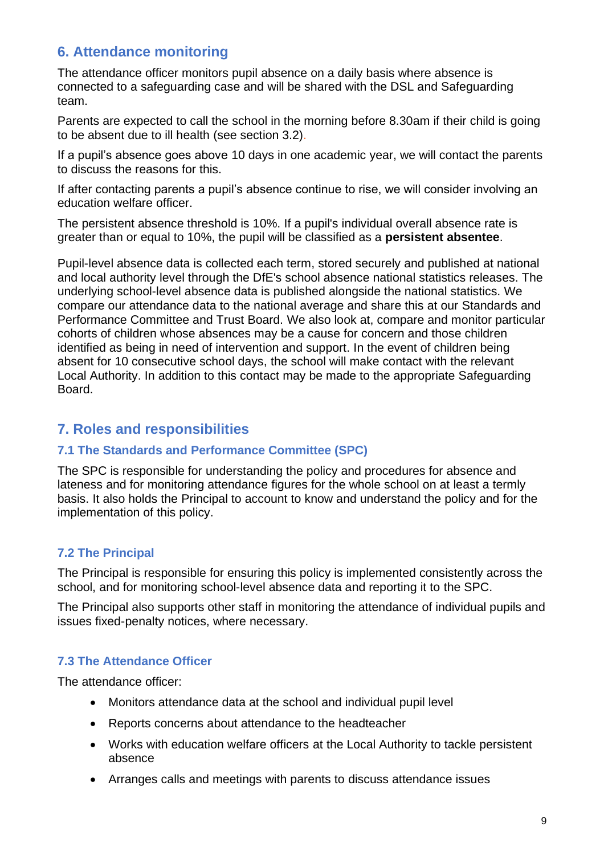# **6. Attendance monitoring**

The attendance officer monitors pupil absence on a daily basis where absence is connected to a safeguarding case and will be shared with the DSL and Safeguarding team.

Parents are expected to call the school in the morning before 8.30am if their child is going to be absent due to ill health (see section 3.2).

If a pupil's absence goes above 10 days in one academic year, we will contact the parents to discuss the reasons for this.

If after contacting parents a pupil's absence continue to rise, we will consider involving an education welfare officer.

The persistent absence threshold is 10%. If a pupil's individual overall absence rate is greater than or equal to 10%, the pupil will be classified as a **persistent absentee**.

Pupil-level absence data is collected each term, stored securely and published at national and local authority level through the DfE's school absence national statistics releases. The underlying school-level absence data is published alongside the national statistics. We compare our attendance data to the national average and share this at our Standards and Performance Committee and Trust Board. We also look at, compare and monitor particular cohorts of children whose absences may be a cause for concern and those children identified as being in need of intervention and support. In the event of children being absent for 10 consecutive school days, the school will make contact with the relevant Local Authority. In addition to this contact may be made to the appropriate Safeguarding Board.

# **7. Roles and responsibilities**

#### **7.1 The Standards and Performance Committee (SPC)**

The SPC is responsible for understanding the policy and procedures for absence and lateness and for monitoring attendance figures for the whole school on at least a termly basis. It also holds the Principal to account to know and understand the policy and for the implementation of this policy.

#### **7.2 The Principal**

The Principal is responsible for ensuring this policy is implemented consistently across the school, and for monitoring school-level absence data and reporting it to the SPC.

The Principal also supports other staff in monitoring the attendance of individual pupils and issues fixed-penalty notices, where necessary.

#### **7.3 The Attendance Officer**

The attendance officer:

- Monitors attendance data at the school and individual pupil level
- Reports concerns about attendance to the headteacher
- Works with education welfare officers at the Local Authority to tackle persistent absence
- Arranges calls and meetings with parents to discuss attendance issues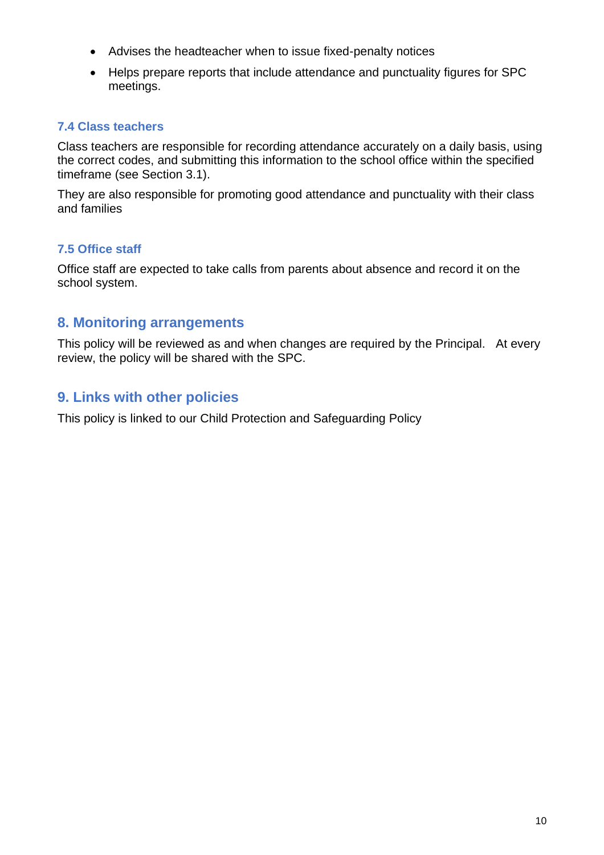- Advises the headteacher when to issue fixed-penalty notices
- Helps prepare reports that include attendance and punctuality figures for SPC meetings.

## **7.4 Class teachers**

Class teachers are responsible for recording attendance accurately on a daily basis, using the correct codes, and submitting this information to the school office within the specified timeframe (see Section 3.1).

They are also responsible for promoting good attendance and punctuality with their class and families

#### **7.5 Office staff**

Office staff are expected to take calls from parents about absence and record it on the school system.

# **8. Monitoring arrangements**

This policy will be reviewed as and when changes are required by the Principal. At every review, the policy will be shared with the SPC.

# **9. Links with other policies**

This policy is linked to our Child Protection and Safeguarding Policy